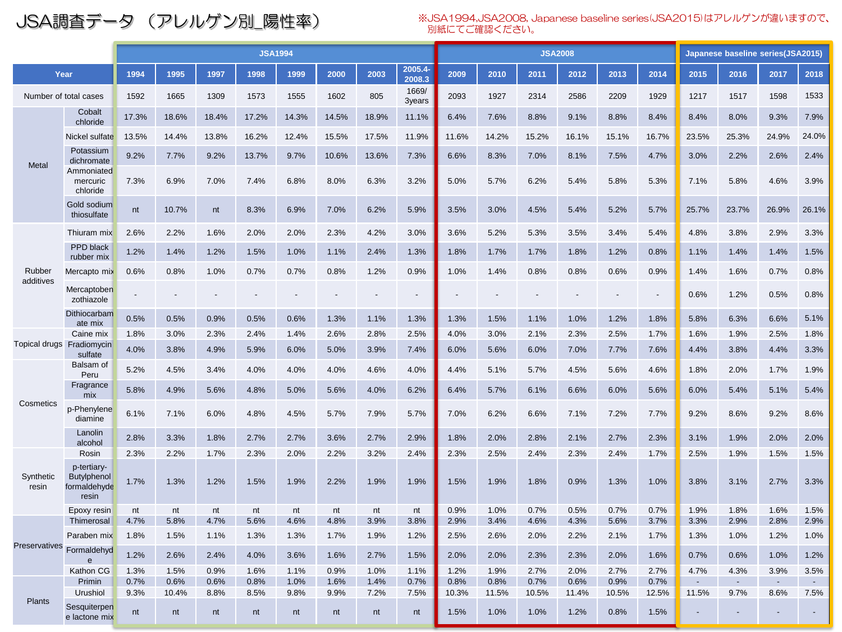JSA調査データ (アレルゲン別\_陽性率) ※JSA1994,JSA2008, Japanese baseline series(JSA2015)はアレルゲンが違いますので、 別紙にてご確認ください。

|                           |                                                            | <b>JSA1994</b> |               |              |              |              |              |              | <b>JSA2008</b>    |               |               |               | Japanese baseline series(JSA2015) |               |               |              |                |                |                |
|---------------------------|------------------------------------------------------------|----------------|---------------|--------------|--------------|--------------|--------------|--------------|-------------------|---------------|---------------|---------------|-----------------------------------|---------------|---------------|--------------|----------------|----------------|----------------|
| Year                      |                                                            | 1994           | 1995          | 1997         | 1998         | 1999         | 2000         | 2003         | 2005.4-<br>2008.3 | 2009          | 2010          | 2011          | 2012                              | 2013          | 2014          | 2015         | 2016           | 2017           | 2018           |
| Number of total cases     |                                                            | 1592           | 1665          | 1309         | 1573         | 1555         | 1602         | 805          | 1669/<br>3years   | 2093          | 1927          | 2314          | 2586                              | 2209          | 1929          | 1217         | 1517           | 1598           | 1533           |
| Metal                     | Cobalt<br>chloride                                         | 17.3%          | 18.6%         | 18.4%        | 17.2%        | 14.3%        | 14.5%        | 18.9%        | 11.1%             | 6.4%          | 7.6%          | 8.8%          | 9.1%                              | 8.8%          | 8.4%          | 8.4%         | 8.0%           | 9.3%           | 7.9%           |
|                           | Nickel sulfate                                             | 13.5%          | 14.4%         | 13.8%        | 16.2%        | 12.4%        | 15.5%        | 17.5%        | 11.9%             | 11.6%         | 14.2%         | 15.2%         | 16.1%                             | 15.1%         | 16.7%         | 23.5%        | 25.3%          | 24.9%          | 24.0%          |
|                           | Potassium<br>dichromate                                    | 9.2%           | 7.7%          | 9.2%         | 13.7%        | 9.7%         | 10.6%        | 13.6%        | 7.3%              | 6.6%          | 8.3%          | 7.0%          | 8.1%                              | 7.5%          | 4.7%          | 3.0%         | 2.2%           | 2.6%           | 2.4%           |
|                           | Ammoniated<br>mercuric<br>chloride                         | 7.3%           | 6.9%          | 7.0%         | 7.4%         | 6.8%         | 8.0%         | 6.3%         | 3.2%              | 5.0%          | 5.7%          | 6.2%          | 5.4%                              | 5.8%          | 5.3%          | 7.1%         | 5.8%           | 4.6%           | 3.9%           |
|                           | Gold sodium<br>thiosulfate                                 | nt             | 10.7%         | nt           | 8.3%         | 6.9%         | 7.0%         | 6.2%         | 5.9%              | 3.5%          | 3.0%          | 4.5%          | 5.4%                              | 5.2%          | 5.7%          | 25.7%        | 23.7%          | 26.9%          | 26.1%          |
|                           | Thiuram mix                                                | 2.6%           | 2.2%          | 1.6%         | 2.0%         | 2.0%         | 2.3%         | 4.2%         | 3.0%              | 3.6%          | 5.2%          | 5.3%          | 3.5%                              | 3.4%          | 5.4%          | 4.8%         | 3.8%           | 2.9%           | 3.3%           |
|                           | PPD black<br>rubber mix                                    | 1.2%           | 1.4%          | 1.2%         | 1.5%         | 1.0%         | 1.1%         | 2.4%         | 1.3%              | 1.8%          | 1.7%          | 1.7%          | 1.8%                              | 1.2%          | 0.8%          | 1.1%         | 1.4%           | 1.4%           | 1.5%           |
| Rubber                    | Mercapto mix                                               | 0.6%           | 0.8%          | 1.0%         | 0.7%         | 0.7%         | 0.8%         | 1.2%         | 0.9%              | 1.0%          | 1.4%          | 0.8%          | 0.8%                              | 0.6%          | 0.9%          | 1.4%         | 1.6%           | 0.7%           | 0.8%           |
| additives                 | Mercaptoben<br>zothiazole                                  |                |               |              |              |              |              |              |                   |               |               |               |                                   |               |               | 0.6%         | 1.2%           | 0.5%           | 0.8%           |
|                           | Dithiocarbam<br>ate mix                                    | 0.5%           | 0.5%          | 0.9%         | 0.5%         | 0.6%         | 1.3%         | 1.1%         | 1.3%              | 1.3%          | 1.5%          | 1.1%          | 1.0%                              | 1.2%          | 1.8%          | 5.8%         | 6.3%           | 6.6%           | 5.1%           |
|                           | Caine mix                                                  | 1.8%           | 3.0%          | 2.3%         | 2.4%         | 1.4%         | 2.6%         | 2.8%         | 2.5%              | 4.0%          | 3.0%          | 2.1%          | 2.3%                              | 2.5%          | 1.7%          | 1.6%         | 1.9%           | 2.5%           | 1.8%           |
| Topical drugs Fradiomycin | sulfate                                                    | 4.0%           | 3.8%          | 4.9%         | 5.9%         | 6.0%         | 5.0%         | 3.9%         | 7.4%              | 6.0%          | 5.6%          | 6.0%          | 7.0%                              | 7.7%          | 7.6%          | 4.4%         | 3.8%           | 4.4%           | 3.3%           |
|                           | Balsam of<br>Peru                                          | 5.2%           | 4.5%          | 3.4%         | 4.0%         | 4.0%         | 4.0%         | 4.6%         | 4.0%              | 4.4%          | 5.1%          | 5.7%          | 4.5%                              | 5.6%          | 4.6%          | 1.8%         | 2.0%           | 1.7%           | 1.9%           |
|                           | Fragrance<br>mix                                           | 5.8%           | 4.9%          | 5.6%         | 4.8%         | 5.0%         | 5.6%         | 4.0%         | 6.2%              | 6.4%          | 5.7%          | 6.1%          | 6.6%                              | 6.0%          | 5.6%          | 6.0%         | 5.4%           | 5.1%           | 5.4%           |
| Cosmetics                 | p-Phenylene<br>diamine                                     | 6.1%           | 7.1%          | 6.0%         | 4.8%         | 4.5%         | 5.7%         | 7.9%         | 5.7%              | 7.0%          | 6.2%          | 6.6%          | 7.1%                              | 7.2%          | 7.7%          | 9.2%         | 8.6%           | 9.2%           | 8.6%           |
|                           | Lanolin<br>alcohol                                         | 2.8%           | 3.3%          | 1.8%         | 2.7%         | 2.7%         | 3.6%         | 2.7%         | 2.9%              | 1.8%          | 2.0%          | 2.8%          | 2.1%                              | 2.7%          | 2.3%          | 3.1%         | 1.9%           | 2.0%           | 2.0%           |
|                           | Rosin                                                      | 2.3%           | 2.2%          | 1.7%         | 2.3%         | 2.0%         | 2.2%         | 3.2%         | 2.4%              | 2.3%          | 2.5%          | 2.4%          | 2.3%                              | 2.4%          | 1.7%          | 2.5%         | 1.9%           | 1.5%           | 1.5%           |
| Synthetic<br>resin        | p-tertiary-<br><b>Butylphenol</b><br>formaldehyde<br>resin | 1.7%           | 1.3%          | 1.2%         | 1.5%         | 1.9%         | 2.2%         | 1.9%         | 1.9%              | 1.5%          | 1.9%          | 1.8%          | 0.9%                              | 1.3%          | 1.0%          | 3.8%         | 3.1%           | 2.7%           | 3.3%           |
|                           | Epoxy resin                                                | nt             | nt            | nt           | nt           | nt           | nt           | nt           | nt                | 0.9%          | 1.0%          | 0.7%          | 0.5%                              | 0.7%          | 0.7%          | 1.9%         | 1.8%           | 1.6%           | 1.5%           |
| Preservatives             | Thimerosal<br>Paraben mix                                  | 4.7%<br>1.8%   | 5.8%<br>1.5%  | 4.7%<br>1.1% | 5.6%<br>1.3% | 4.6%<br>1.3% | 4.8%<br>1.7% | 3.9%<br>1.9% | 3.8%<br>1.2%      | 2.9%<br>2.5%  | 3.4%<br>2.6%  | 4.6%<br>2.0%  | 4.3%<br>2.2%                      | 5.6%<br>2.1%  | 3.7%<br>1.7%  | 3.3%<br>1.3% | 2.9%<br>1.0%   | 2.8%<br>1.2%   | 2.9%<br>1.0%   |
|                           | Formaldehyd<br>$\mathbf e$                                 | 1.2%           | 2.6%          | 2.4%         | 4.0%         | 3.6%         | 1.6%         | 2.7%         | 1.5%              | 2.0%          | 2.0%          | 2.3%          | 2.3%                              | 2.0%          | 1.6%          | 0.7%         | 0.6%           | 1.0%           | 1.2%           |
|                           | Kathon CG                                                  | 1.3%           | 1.5%          | 0.9%         | 1.6%         | 1.1%         | 0.9%         | 1.0%         | 1.1%              | 1.2%          | 1.9%          | 2.7%          | 2.0%                              | 2.7%          | 2.7%          | 4.7%         | 4.3%           | 3.9%           | 3.5%           |
|                           | Primin<br>Urushiol                                         | 0.7%<br>9.3%   | 0.6%<br>10.4% | 0.6%<br>8.8% | 0.8%<br>8.5% | 1.0%<br>9.8% | 1.6%<br>9.9% | 1.4%<br>7.2% | 0.7%<br>7.5%      | 0.8%<br>10.3% | 0.8%<br>11.5% | 0.7%<br>10.5% | 0.6%<br>11.4%                     | 0.9%<br>10.5% | 0.7%<br>12.5% | 11.5%        | ÷.<br>9.7%     | $\sim$<br>8.6% | $\sim$<br>7.5% |
| <b>Plants</b>             | Sesquiterpen<br>e lactone mix                              | nt             | nt            | nt           | nt           | nt           | nt           | nt           | nt                | 1.5%          | 1.0%          | 1.0%          | 1.2%                              | 0.8%          | 1.5%          |              | $\blacksquare$ |                | $\sim$         |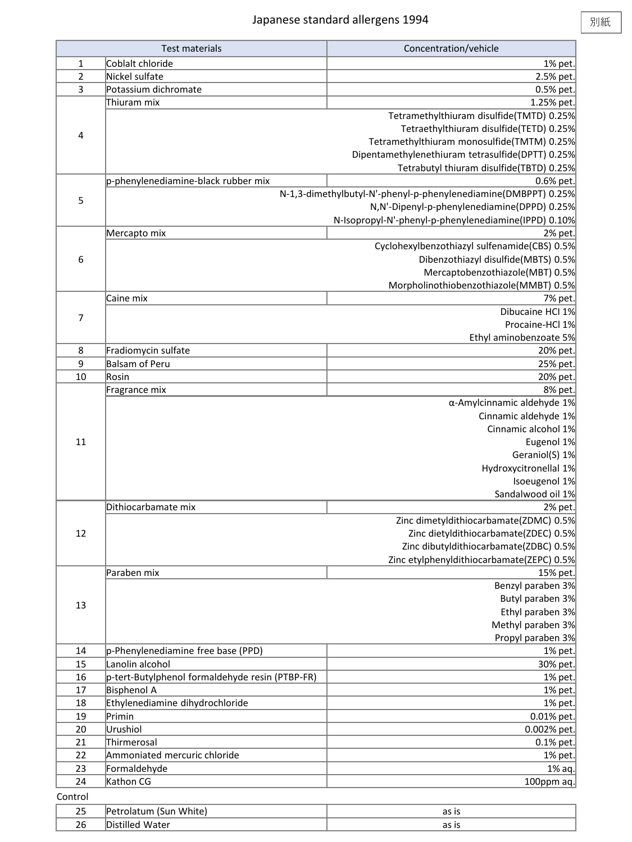|         | <b>Test materials</b>                           | Concentration/vehicle                                          |
|---------|-------------------------------------------------|----------------------------------------------------------------|
| 1       | Coblalt chloride                                | 1% pet.                                                        |
| 2       | Nickel sulfate                                  | 2.5% pet.                                                      |
| 3       | Potassium dichromate                            | 0.5% pet.                                                      |
|         | Thiuram mix                                     | 1.25% pet.                                                     |
|         |                                                 | Tetramethylthiuram disulfide(TMTD) 0.25%                       |
| 4       |                                                 | Tetraethylthiuram disulfide(TETD) 0.25%                        |
|         |                                                 | Tetramethylthiuram monosulfide(TMTM) 0.25%                     |
|         |                                                 | Dipentamethylenethiuram tetrasulfide(DPTT) 0.25%               |
|         |                                                 | Tetrabutyl thiuram disulfide(TBTD) 0.25%                       |
|         | p-phenylenediamine-black rubber mix             | 0.6% pet.                                                      |
| 5       |                                                 | N-1,3-dimethylbutyl-N'-phenyl-p-phenylenediamine(DMBPPT) 0.25% |
|         |                                                 | N,N'-Dipenyl-p-phenylenediamine(DPPD) 0.25%                    |
|         |                                                 | N-Isopropyl-N'-phenyl-p-phenylenediamine(IPPD) 0.10%           |
|         | Mercapto mix                                    | 2% pet.<br>Cyclohexylbenzothiazyl sulfenamide(CBS) 0.5%        |
| 6       |                                                 | Dibenzothiazyl disulfide(MBTS) 0.5%                            |
|         |                                                 | Mercaptobenzothiazole(MBT) 0.5%                                |
|         |                                                 | Morpholinothiobenzothiazole(MMBT) 0.5%                         |
|         | Caine mix                                       | 7% pet.                                                        |
|         |                                                 | Dibucaine HCI 1%                                               |
| 7       |                                                 | Procaine-HCl 1%                                                |
|         |                                                 | Ethyl aminobenzoate 5%                                         |
| 8       | Fradiomycin sulfate                             | 20% pet.                                                       |
| 9       | <b>Balsam of Peru</b>                           | 25% pet.                                                       |
| 10      | Rosin                                           | 20% pet.                                                       |
|         | Fragrance mix                                   | 8% pet.                                                        |
|         |                                                 | $\alpha$ -Amylcinnamic aldehyde 1%                             |
|         |                                                 | Cinnamic aldehyde 1%                                           |
|         |                                                 | Cinnamic alcohol 1%                                            |
| 11      |                                                 | Eugenol 1%                                                     |
|         |                                                 | Geraniol(S) 1%                                                 |
|         |                                                 | Hydroxycitronellal 1%                                          |
|         |                                                 | Isoeugenol 1%                                                  |
|         |                                                 | Sandalwood oil 1%                                              |
|         | Dithiocarbamate mix                             | 2% pet.                                                        |
|         |                                                 | Zinc dimetyldithiocarbamate(ZDMC) 0.5%                         |
| 12      |                                                 | Zinc dietyldithiocarbamate(ZDEC) 0.5%                          |
|         |                                                 | Zinc dibutyldithiocarbamate(ZDBC) 0.5%                         |
|         | Paraben mix                                     | Zinc etylphenyldithiocarbamate(ZEPC) 0.5%                      |
|         |                                                 | 15% pet.<br>Benzyl paraben 3%                                  |
|         |                                                 | Butyl paraben 3%                                               |
| 13      |                                                 | Ethyl paraben 3%                                               |
|         |                                                 | Methyl paraben 3%                                              |
|         |                                                 | Propyl paraben 3%                                              |
| 14      | p-Phenylenediamine free base (PPD)              | 1% pet.                                                        |
| 15      | Lanolin alcohol                                 | 30% pet.                                                       |
| 16      | p-tert-Butylphenol formaldehyde resin (PTBP-FR) | 1% pet.                                                        |
| 17      | <b>Bisphenol A</b>                              | 1% pet.                                                        |
| 18      | Ethylenediamine dihydrochloride                 | 1% pet.                                                        |
| 19      | Primin                                          | 0.01% pet.                                                     |
| 20      | Urushiol                                        | 0.002% pet.                                                    |
| 21      | Thirmerosal                                     | $0.1\%$ pet.                                                   |
| 22      | Ammoniated mercuric chloride                    | 1% pet.                                                        |
| 23      | Formaldehyde                                    | 1% aq.                                                         |
| 24      | Kathon CG                                       | 100ppm aq.                                                     |
| Control |                                                 |                                                                |
| 25      | Petrolatum (Sun White)                          | as is                                                          |
| 26      | Distilled Water                                 | as is                                                          |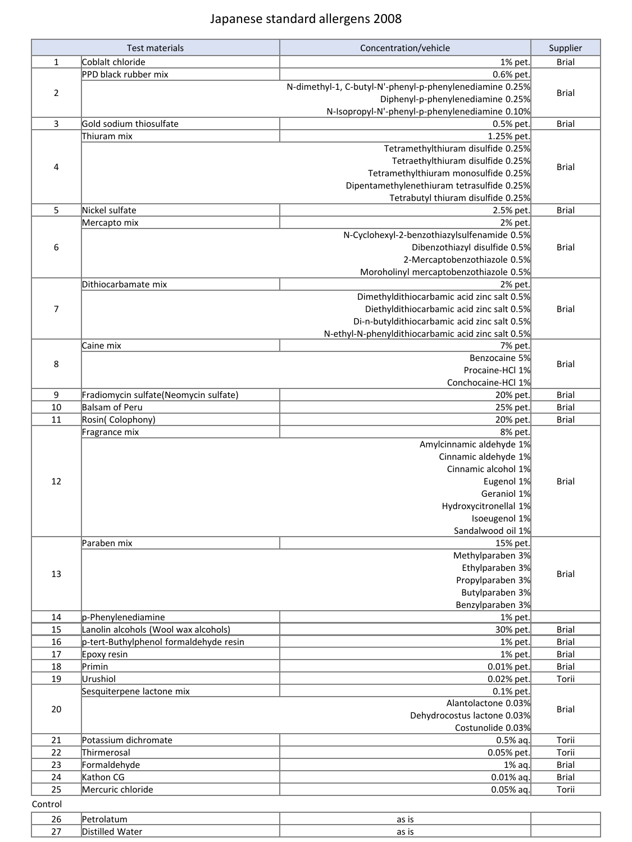## Japanese standard allergens 2008

|                | <b>Test materials</b>                  | Concentration/vehicle                                    | Supplier     |
|----------------|----------------------------------------|----------------------------------------------------------|--------------|
| $\mathbf{1}$   | Coblalt chloride                       | 1% pet.                                                  | <b>Brial</b> |
|                | PPD black rubber mix                   | 0.6% pet.                                                |              |
|                |                                        | N-dimethyl-1, C-butyl-N'-phenyl-p-phenylenediamine 0.25% |              |
| $\overline{2}$ |                                        | Diphenyl-p-phenylenediamine 0.25%                        | <b>Brial</b> |
|                |                                        | N-Isopropyl-N'-phenyl-p-phenylenediamine 0.10%           |              |
| 3              | Gold sodium thiosulfate                | 0.5% pet.                                                | <b>Brial</b> |
|                | Thiuram mix                            | 1.25% pet.                                               |              |
|                |                                        | Tetramethylthiuram disulfide 0.25%                       |              |
|                |                                        | Tetraethylthiuram disulfide 0.25%                        |              |
| 4              |                                        | Tetramethylthiuram monosulfide 0.25%                     | <b>Brial</b> |
|                |                                        | Dipentamethylenethiuram tetrasulfide 0.25%               |              |
|                |                                        | Tetrabutyl thiuram disulfide 0.25%                       |              |
| 5              | Nickel sulfate                         | 2.5% pet.                                                | <b>Brial</b> |
|                | Mercapto mix                           | 2% pet.                                                  |              |
|                |                                        | N-Cyclohexyl-2-benzothiazylsulfenamide 0.5%              |              |
| 6              |                                        | Dibenzothiazyl disulfide 0.5%                            | <b>Brial</b> |
|                |                                        | 2-Mercaptobenzothiazole 0.5%                             |              |
|                |                                        | Moroholinyl mercaptobenzothiazole 0.5%                   |              |
|                | Dithiocarbamate mix                    | 2% pet.                                                  |              |
|                |                                        | Dimethyldithiocarbamic acid zinc salt 0.5%               |              |
| 7              |                                        | Diethyldithiocarbamic acid zinc salt 0.5%                | <b>Brial</b> |
|                |                                        | Di-n-butyldithiocarbamic acid zinc salt 0.5%             |              |
|                |                                        | N-ethyl-N-phenyldithiocarbamic acid zinc salt 0.5%       |              |
|                | Caine mix                              | 7% pet.                                                  |              |
|                |                                        | Benzocaine 5%                                            |              |
| 8              |                                        | Procaine-HCl 1%                                          | <b>Brial</b> |
|                |                                        | Conchocaine-HCl 1%                                       |              |
| 9              | Fradiomycin sulfate(Neomycin sulfate)  | 20% pet.                                                 | <b>Brial</b> |
| 10             | Balsam of Peru                         | 25% pet.                                                 | <b>Brial</b> |
| 11             | Rosin(Colophony)                       | 20% pet.                                                 | <b>Brial</b> |
|                | Fragrance mix                          | 8% pet.                                                  |              |
|                |                                        | Amylcinnamic aldehyde 1%                                 |              |
|                |                                        | Cinnamic aldehyde 1%                                     |              |
|                |                                        | Cinnamic alcohol 1%                                      |              |
| 12             |                                        | Eugenol 1%                                               | <b>Brial</b> |
|                |                                        | Geraniol 1%                                              |              |
|                |                                        | Hydroxycitronellal 1%                                    |              |
|                |                                        | Isoeugenol 1%                                            |              |
|                |                                        | Sandalwood oil 1%                                        |              |
|                | Paraben mix                            | 15% pet.                                                 |              |
|                |                                        | Methylparaben 3%                                         |              |
|                |                                        | Ethylparaben 3%                                          |              |
| 13             |                                        | Propylparaben 3%                                         | <b>Brial</b> |
|                |                                        | Butylparaben 3%                                          |              |
|                |                                        | Benzylparaben 3%                                         |              |
| 14             | p-Phenylenediamine                     | 1% pet.                                                  |              |
| 15             | Lanolin alcohols (Wool wax alcohols)   | 30% pet.                                                 | <b>Brial</b> |
| 16             | p-tert-Buthylphenol formaldehyde resin | 1% pet.                                                  | <b>Brial</b> |
| 17             | Epoxy resin                            | 1% pet.                                                  | Brial        |
| 18             | Primin                                 | 0.01% pet.                                               | <b>Brial</b> |
| 19             | Urushiol                               | 0.02% pet.                                               | Torii        |
|                | Sesquiterpene lactone mix              | 0.1% pet.                                                |              |
|                |                                        | Alantolactone 0.03%                                      |              |
| 20             |                                        | Dehydrocostus lactone 0.03%                              | Brial        |
|                |                                        | Costunolide 0.03%                                        |              |
| 21             | Potassium dichromate                   | $0.5%$ aq.                                               | Torii        |
| 22             | Thirmerosal                            | 0.05% pet.                                               | Torii        |
| 23             | Formaldehyde                           | 1% aq.                                                   | <b>Brial</b> |
| 24             | Kathon CG                              | $0.01%$ aq.                                              | <b>Brial</b> |
| 25             | Mercuric chloride                      | $0.05%$ aq.                                              | Torii        |
|                |                                        |                                                          |              |
| Control        |                                        |                                                          |              |

| $\sim$ $\sim$<br>- ZU<br>__ |      | $\sim$ $\sim$<br>.<br>.<br>. |  |
|-----------------------------|------|------------------------------|--|
|                             | ۱۱۱۴ | - -                          |  |
| $\sim$ $-$                  | או ה | ີ                            |  |
| . .                         | wate |                              |  |